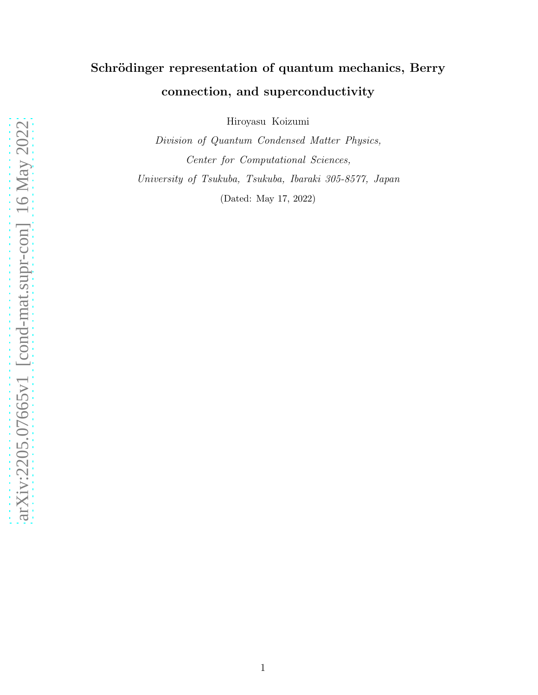## Schrödinger representation of quantum mechanics, Berry connection, and superconductivity

Hiroyasu Koizumi

Division of Quantum Condensed Matter Physics, Center for Computational Sciences, University of Tsukuba, Tsukuba, Ibaraki 305-8577, Japan (Dated: May 17, 2022)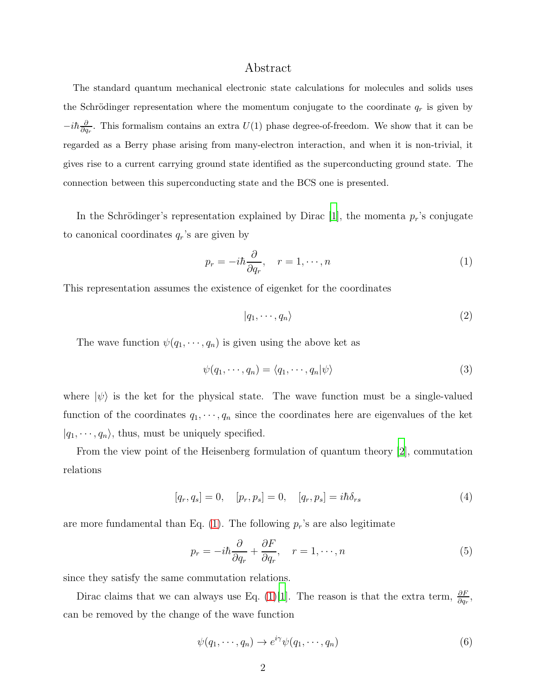## Abstract

The standard quantum mechanical electronic state calculations for molecules and solids uses the Schrödinger representation where the momentum conjugate to the coordinate  $q_r$  is given by  $-i\hbar\frac{\partial}{\partial q}$  $\frac{\partial}{\partial q_r}$ . This formalism contains an extra  $U(1)$  phase degree-of-freedom. We show that it can be regarded as a Berry phase arising from many-electron interaction, and when it is non-trivial, it gives rise to a current carrying ground state identified as the superconducting ground state. The connection between this superconducting state and the BCS one is presented.

In the Schrödinger's representation explained by Dirac [\[1](#page-10-0)], the momenta  $p_r$ 's conjugate to canonical coordinates  $q_r$ 's are given by

<span id="page-1-0"></span>
$$
p_r = -i\hbar \frac{\partial}{\partial q_r}, \quad r = 1, \cdots, n \tag{1}
$$

This representation assumes the existence of eigenket for the coordinates

$$
|q_1, \cdots, q_n\rangle \tag{2}
$$

The wave function  $\psi(q_1, \dots, q_n)$  is given using the above ket as

$$
\psi(q_1, \cdots, q_n) = \langle q_1, \cdots, q_n | \psi \rangle \tag{3}
$$

where  $|\psi\rangle$  is the ket for the physical state. The wave function must be a single-valued function of the coordinates  $q_1, \dots, q_n$  since the coordinates here are eigenvalues of the ket  $|q_1, \dots, q_n\rangle$ , thus, must be uniquely specified.

From the view point of the Heisenberg formulation of quantum theory [\[2\]](#page-10-1), commutation relations

$$
[q_r, q_s] = 0, \quad [p_r, p_s] = 0, \quad [q_r, p_s] = i\hbar \delta_{rs}
$$
 (4)

are more fundamental than Eq.  $(1)$ . The following  $p_r$ 's are also legitimate

$$
p_r = -i\hbar \frac{\partial}{\partial q_r} + \frac{\partial F}{\partial q_r}, \quad r = 1, \cdots, n
$$
\n(5)

since they satisfy the same commutation relations.

Dirac claims that we can always use Eq. [\(1\)](#page-1-0)[\[1\]](#page-10-0). The reason is that the extra term,  $\frac{\partial F}{\partial q_r}$ , can be removed by the change of the wave function

<span id="page-1-1"></span>
$$
\psi(q_1, \cdots, q_n) \to e^{i\gamma} \psi(q_1, \cdots, q_n)
$$
\n<sup>(6)</sup>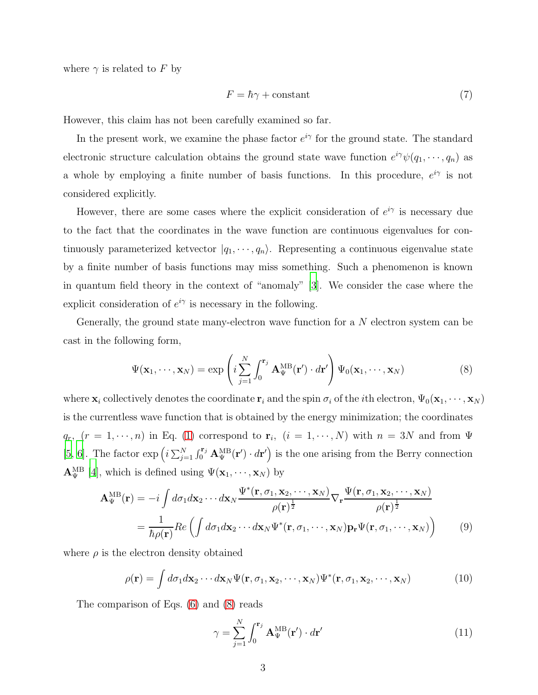where  $\gamma$  is related to F by

$$
F = \hbar \gamma + \text{constant} \tag{7}
$$

However, this claim has not been carefully examined so far.

In the present work, we examine the phase factor  $e^{i\gamma}$  for the ground state. The standard electronic structure calculation obtains the ground state wave function  $e^{i\gamma}\psi(q_1,\dots,q_n)$  as a whole by employing a finite number of basis functions. In this procedure,  $e^{i\gamma}$  is not considered explicitly.

However, there are some cases where the explicit consideration of  $e^{i\gamma}$  is necessary due to the fact that the coordinates in the wave function are continuous eigenvalues for continuously parameterized ketvector  $|q_1, \dots, q_n\rangle$ . Representing a continuous eigenvalue state by a finite number of basis functions may miss something. Such a phenomenon is known in quantum field theory in the context of "anomaly" [\[3](#page-10-2)]. We consider the case where the explicit consideration of  $e^{i\gamma}$  is necessary in the following.

Generally, the ground state many-electron wave function for a N electron system can be cast in the following form,

<span id="page-2-0"></span>
$$
\Psi(\mathbf{x}_1,\dots,\mathbf{x}_N)=\exp\left(i\sum_{j=1}^N\int_0^{\mathbf{r}_j}\mathbf{A}_{\Psi}^{\text{MB}}(\mathbf{r}')\cdot d\mathbf{r}'\right)\Psi_0(\mathbf{x}_1,\dots,\mathbf{x}_N)
$$
\n(8)

where  $\mathbf{x}_i$  collectively denotes the coordinate  $\mathbf{r}_i$  and the spin  $\sigma_i$  of the *i*th electron,  $\Psi_0(\mathbf{x}_1, \dots, \mathbf{x}_N)$ is the currentless wave function that is obtained by the energy minimization; the coordinates  $q_r$ ,  $(r = 1, \dots, n)$  in Eq. [\(1\)](#page-1-0) correspond to  $\mathbf{r}_i$ ,  $(i = 1, \dots, N)$  with  $n = 3N$  and from  $\Psi$ [\[5](#page-10-3), [6\]](#page-11-0). The factor  $\exp\left(i \sum_{j=1}^N \int_0^{\mathbf{r}_j} \mathbf{A}_{\Psi}^{\text{MB}}(\mathbf{r}') \cdot d\mathbf{r}'\right)$  is the one arising from the Berry connection  $\mathbf{A}_{\Psi}^{\text{MB}}$  [\[4](#page-10-4)], which is defined using  $\Psi(\mathbf{x}_1,\dots,\mathbf{x}_N)$  by

<span id="page-2-1"></span>
$$
\mathbf{A}_{\Psi}^{\text{MB}}(\mathbf{r}) = -i \int d\sigma_1 d\mathbf{x}_2 \cdots d\mathbf{x}_N \frac{\Psi^*(\mathbf{r}, \sigma_1, \mathbf{x}_2, \cdots, \mathbf{x}_N)}{\rho(\mathbf{r})^{\frac{1}{2}}} \nabla_{\mathbf{r}} \frac{\Psi(\mathbf{r}, \sigma_1, \mathbf{x}_2, \cdots, \mathbf{x}_N)}{\rho(\mathbf{r})^{\frac{1}{2}}} \n= \frac{1}{\hbar \rho(\mathbf{r})} Re \left( \int d\sigma_1 d\mathbf{x}_2 \cdots d\mathbf{x}_N \Psi^*(\mathbf{r}, \sigma_1, \cdots, \mathbf{x}_N) \mathbf{p}_\mathbf{r} \Psi(\mathbf{r}, \sigma_1, \cdots, \mathbf{x}_N) \right)
$$
\n(9)

where  $\rho$  is the electron density obtained

$$
\rho(\mathbf{r}) = \int d\sigma_1 d\mathbf{x}_2 \cdots d\mathbf{x}_N \Psi(\mathbf{r}, \sigma_1, \mathbf{x}_2, \cdots, \mathbf{x}_N) \Psi^*(\mathbf{r}, \sigma_1, \mathbf{x}_2, \cdots, \mathbf{x}_N)
$$
(10)

The comparison of Eqs. [\(6\)](#page-1-1) and [\(8\)](#page-2-0) reads

$$
\gamma = \sum_{j=1}^{N} \int_{0}^{\mathbf{r}_j} \mathbf{A}_{\Psi}^{\text{MB}}(\mathbf{r}') \cdot d\mathbf{r}' \tag{11}
$$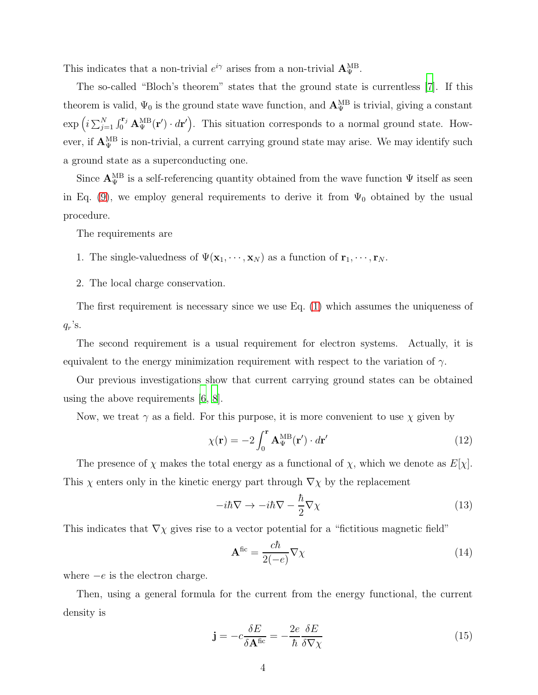This indicates that a non-trivial  $e^{i\gamma}$  arises from a non-trivial  $\mathbf{A}_{\Psi}^{\text{MB}}$ .

The so-called "Bloch's theorem" states that the ground state is currentless [\[7](#page-11-1)]. If this theorem is valid,  $\Psi_0$  is the ground state wave function, and  ${\bf A}_{\Psi}^{\rm MB}$  is trivial, giving a constant  $\exp\left(i\sum_{j=1}^N \int_0^{\mathbf{r}_j} \mathbf{A}_{\Psi}^{\text{MB}}(\mathbf{r}') \cdot d\mathbf{r}'\right)$ . This situation corresponds to a normal ground state. However, if  $\mathbf{A}_{\Psi}^{\text{MB}}$  is non-trivial, a current carrying ground state may arise. We may identify such a ground state as a superconducting one.

Since  ${\bf A}_{\Psi}^{\rm MB}$  is a self-referencing quantity obtained from the wave function  $\Psi$  itself as seen in Eq. [\(9\)](#page-2-1), we employ general requirements to derive it from  $\Psi_0$  obtained by the usual procedure.

The requirements are

- 1. The single-valuedness of  $\Psi(\mathbf{x}_1,\dots,\mathbf{x}_N)$  as a function of  $\mathbf{r}_1,\dots,\mathbf{r}_N$ .
- 2. The local charge conservation.

The first requirement is necessary since we use Eq. [\(1\)](#page-1-0) which assumes the uniqueness of  $q_r$ 's.

The second requirement is a usual requirement for electron systems. Actually, it is equivalent to the energy minimization requirement with respect to the variation of  $\gamma$ .

Our previous investigations show that current carrying ground states can be obtained using the above requirements [\[6,](#page-11-0) [8\]](#page-11-2).

Now, we treat  $\gamma$  as a field. For this purpose, it is more convenient to use  $\chi$  given by

$$
\chi(\mathbf{r}) = -2 \int_0^{\mathbf{r}} \mathbf{A}_{\Psi}^{\text{MB}}(\mathbf{r}') \cdot d\mathbf{r}' \tag{12}
$$

The presence of  $\chi$  makes the total energy as a functional of  $\chi$ , which we denote as  $E[\chi]$ . This  $\chi$  enters only in the kinetic energy part through  $\nabla \chi$  by the replacement

$$
-i\hbar\nabla \to -i\hbar\nabla - \frac{\hbar}{2}\nabla \chi \tag{13}
$$

This indicates that  $\nabla \chi$  gives rise to a vector potential for a "fictitious magnetic field"

$$
\mathbf{A}^{\text{fic}} = \frac{c\hbar}{2(-e)} \nabla \chi \tag{14}
$$

where  $-e$  is the electron charge.

Then, using a general formula for the current from the energy functional, the current density is

$$
\mathbf{j} = -c\frac{\delta E}{\delta \mathbf{A}^{\text{fic}}} = -\frac{2e}{\hbar} \frac{\delta E}{\delta \nabla \chi} \tag{15}
$$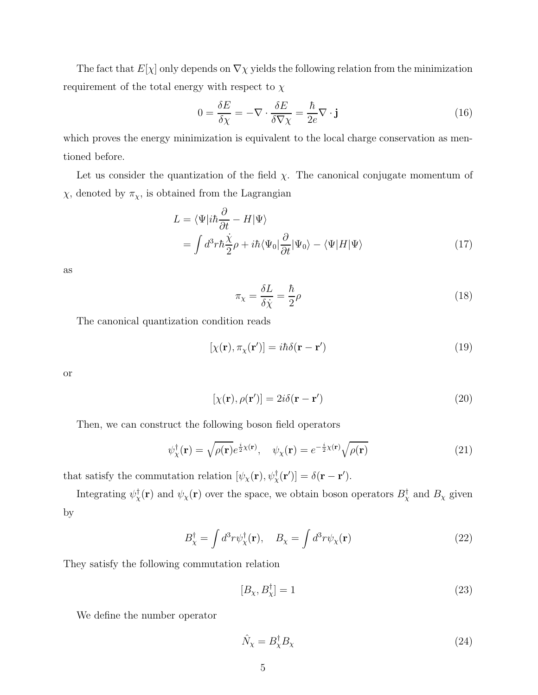The fact that  $E[\chi]$  only depends on  $\nabla \chi$  yields the following relation from the minimization requirement of the total energy with respect to  $\chi$ 

$$
0 = \frac{\delta E}{\delta \chi} = -\nabla \cdot \frac{\delta E}{\delta \nabla \chi} = \frac{\hbar}{2e} \nabla \cdot \mathbf{j}
$$
 (16)

which proves the energy minimization is equivalent to the local charge conservation as mentioned before.

Let us consider the quantization of the field  $\chi$ . The canonical conjugate momentum of  $\chi$ , denoted by  $\pi_{\chi}$ , is obtained from the Lagrangian

$$
L = \langle \Psi | i\hbar \frac{\partial}{\partial t} - H | \Psi \rangle
$$
  
= 
$$
\int d^3 r \hbar \frac{\dot{\chi}}{2} \rho + i\hbar \langle \Psi_0 | \frac{\partial}{\partial t} | \Psi_0 \rangle - \langle \Psi | H | \Psi \rangle
$$
 (17)

as

$$
\pi_{\chi} = \frac{\delta L}{\delta \dot{\chi}} = \frac{\hbar}{2} \rho \tag{18}
$$

The canonical quantization condition reads

$$
[\chi(\mathbf{r}), \pi_{\chi}(\mathbf{r}')] = i\hbar \delta(\mathbf{r} - \mathbf{r}')
$$
\n(19)

or

$$
[\chi(\mathbf{r}), \rho(\mathbf{r}')] = 2i\delta(\mathbf{r} - \mathbf{r}') \tag{20}
$$

Then, we can construct the following boson field operators

$$
\psi_{\chi}^{\dagger}(\mathbf{r}) = \sqrt{\rho(\mathbf{r})} e^{\frac{i}{2}\chi(\mathbf{r})}, \quad \psi_{\chi}(\mathbf{r}) = e^{-\frac{i}{2}\chi(\mathbf{r})} \sqrt{\rho(\mathbf{r})}
$$
(21)

that satisfy the commutation relation  $[\psi_{\chi}(\mathbf{r}), \psi_{\chi}^{\dagger}(\mathbf{r}')] = \delta(\mathbf{r} - \mathbf{r}')$ .

Integrating  $\psi^{\dagger}_\chi(\mathbf{r})$  and  $\psi_\chi(\mathbf{r})$  over the space, we obtain boson operators  $B^{\dagger}_\chi$  and  $B_\chi$  given by

$$
B_{\chi}^{\dagger} = \int d^3 r \psi_{\chi}^{\dagger}(\mathbf{r}), \quad B_{\chi} = \int d^3 r \psi_{\chi}(\mathbf{r}) \tag{22}
$$

They satisfy the following commutation relation

$$
[B_{\chi}, B_{\chi}^{\dagger}] = 1 \tag{23}
$$

We define the number operator

$$
\hat{N}_{\chi} = B_{\chi}^{\dagger} B_{\chi} \tag{24}
$$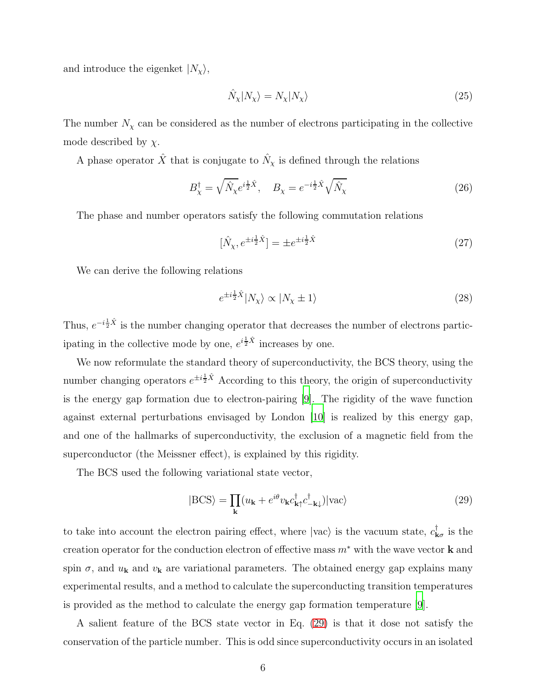and introduce the eigenket  $|N_{\chi}\rangle$ ,

$$
\hat{N}_{\chi}|N_{\chi}\rangle = N_{\chi}|N_{\chi}\rangle \tag{25}
$$

The number  $N_{\chi}$  can be considered as the number of electrons participating in the collective mode described by  $\chi$ .

A phase operator  $\hat{X}$  that is conjugate to  $\hat{N}_{\chi}$  is defined through the relations

$$
B_{\chi}^{\dagger} = \sqrt{\hat{N}_{\chi}} e^{i\frac{1}{2}\hat{X}}, \quad B_{\chi} = e^{-i\frac{1}{2}\hat{X}} \sqrt{\hat{N}_{\chi}}
$$
(26)

The phase and number operators satisfy the following commutation relations

$$
[\hat{N}_{\chi}, e^{\pm i\frac{1}{2}\hat{X}}] = \pm e^{\pm i\frac{1}{2}\hat{X}} \tag{27}
$$

We can derive the following relations

$$
e^{\pm i\frac{1}{2}\hat{X}}|N_{\chi}\rangle \propto |N_{\chi} \pm 1\rangle \tag{28}
$$

Thus,  $e^{-i\frac{1}{2}\hat{X}}$  is the number changing operator that decreases the number of electrons participating in the collective mode by one,  $e^{i\frac{1}{2}\hat{X}}$  increases by one.

We now reformulate the standard theory of superconductivity, the BCS theory, using the number changing operators  $e^{\pm i\frac{1}{2}\hat{X}}$  According to this theory, the origin of superconductivity is the energy gap formation due to electron-pairing [\[9\]](#page-11-3). The rigidity of the wave function against external perturbations envisaged by London [\[10\]](#page-11-4) is realized by this energy gap, and one of the hallmarks of superconductivity, the exclusion of a magnetic field from the superconductor (the Meissner effect), is explained by this rigidity.

The BCS used the following variational state vector,

<span id="page-5-0"></span>
$$
|\text{BCS}\rangle = \prod_{\mathbf{k}} (u_{\mathbf{k}} + e^{i\theta} v_{\mathbf{k}} c_{\mathbf{k}\uparrow}^{\dagger} c_{-\mathbf{k}\downarrow}^{\dagger}) |\text{vac}\rangle \tag{29}
$$

to take into account the electron pairing effect, where  $|vac\rangle$  is the vacuum state,  $c_{\mathbf{k}\sigma}^{\dagger}$  is the creation operator for the conduction electron of effective mass  $m^*$  with the wave vector **k** and spin  $\sigma$ , and  $u_{\mathbf{k}}$  and  $v_{\mathbf{k}}$  are variational parameters. The obtained energy gap explains many experimental results, and a method to calculate the superconducting transition temperatures is provided as the method to calculate the energy gap formation temperature [\[9](#page-11-3)].

A salient feature of the BCS state vector in Eq. [\(29\)](#page-5-0) is that it dose not satisfy the conservation of the particle number. This is odd since superconductivity occurs in an isolated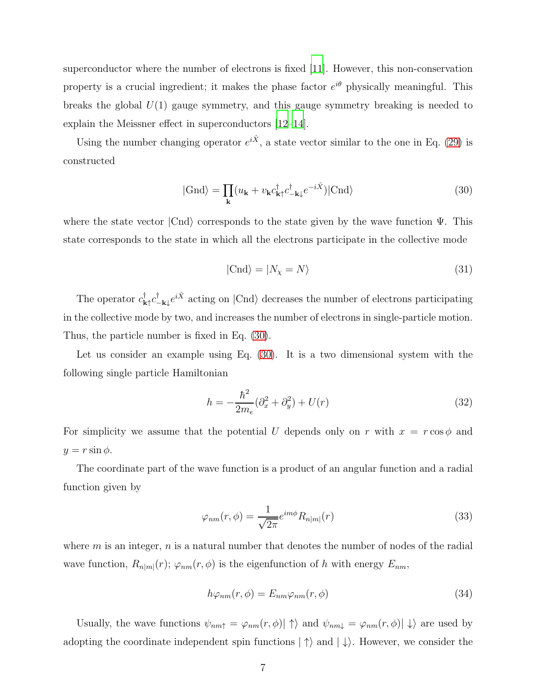superconductor where the number of electrons is fixed [\[11](#page-11-5)]. However, this non-conservation property is a crucial ingredient; it makes the phase factor  $e^{i\theta}$  physically meaningful. This breaks the global  $U(1)$  gauge symmetry, and this gauge symmetry breaking is needed to explain the Meissner effect in superconductors [\[12](#page-11-6)[–14](#page-11-7)].

Using the number changing operator  $e^{i\hat{X}}$ , a state vector similar to the one in Eq. [\(29\)](#page-5-0) is constructed

<span id="page-6-0"></span>
$$
|\text{Gnd}\rangle = \prod_{\mathbf{k}} (u_{\mathbf{k}} + v_{\mathbf{k}} c_{\mathbf{k}\uparrow}^{\dagger} c_{-\mathbf{k}\downarrow}^{\dagger} e^{-i\hat{X}})|\text{Cnd}\rangle \tag{30}
$$

where the state vector  $|Cnd\rangle$  corresponds to the state given by the wave function  $\Psi$ . This state corresponds to the state in which all the electrons participate in the collective mode

$$
|{\rm Cnd}\rangle = |N_{\chi} = N\rangle \tag{31}
$$

The operator  $c^{\dagger}_{\mathbf{k}\uparrow}c^{\dagger}_{-\mathbf{k}\downarrow}e^{i\hat{X}}$  acting on  $|\text{Cnd}\rangle$  decreases the number of electrons participating in the collective mode by two, and increases the number of electrons in single-particle motion. Thus, the particle number is fixed in Eq. [\(30\)](#page-6-0).

Let us consider an example using Eq. [\(30\)](#page-6-0). It is a two dimensional system with the following single particle Hamiltonian

$$
h = -\frac{\hbar^2}{2m_e} (\partial_x^2 + \partial_y^2) + U(r)
$$
\n(32)

For simplicity we assume that the potential U depends only on r with  $x = r \cos \phi$  and  $y = r \sin \phi$ .

The coordinate part of the wave function is a product of an angular function and a radial function given by

$$
\varphi_{nm}(r,\phi) = \frac{1}{\sqrt{2\pi}} e^{im\phi} R_{n|m|}(r) \tag{33}
$$

where  $m$  is an integer,  $n$  is a natural number that denotes the number of nodes of the radial wave function,  $R_{n|m|}(r)$ ;  $\varphi_{nm}(r,\phi)$  is the eigenfunction of h with energy  $E_{nm}$ ,

$$
h\varphi_{nm}(r,\phi) = E_{nm}\varphi_{nm}(r,\phi) \tag{34}
$$

Usually, the wave functions  $\psi_{nm\uparrow} = \varphi_{nm}(r, \phi) |\uparrow\rangle$  and  $\psi_{nm\downarrow} = \varphi_{nm}(r, \phi) |\downarrow\rangle$  are used by adopting the coordinate independent spin functions  $|\uparrow\rangle$  and  $|\downarrow\rangle$ . However, we consider the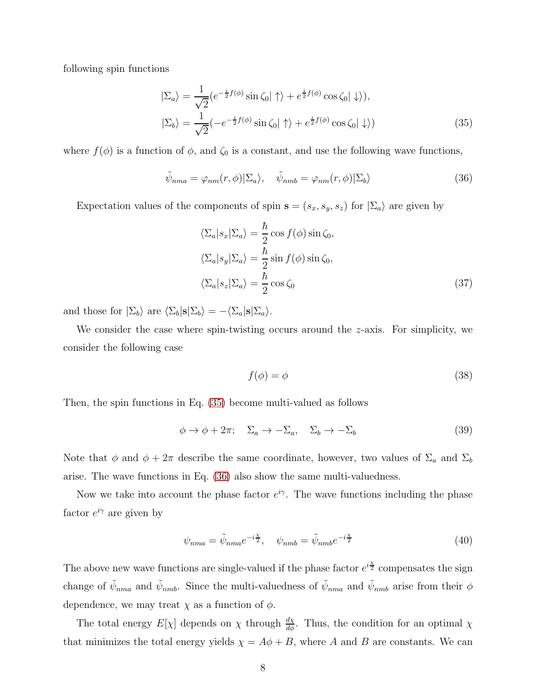following spin functions

<span id="page-7-0"></span>
$$
|\Sigma_a\rangle = \frac{1}{\sqrt{2}} (e^{-\frac{i}{2}f(\phi)} \sin \zeta_0 | \uparrow \rangle + e^{\frac{i}{2}f(\phi)} \cos \zeta_0 | \downarrow \rangle),
$$
  

$$
|\Sigma_b\rangle = \frac{1}{\sqrt{2}} (-e^{-\frac{i}{2}f(\phi)} \sin \zeta_0 | \uparrow \rangle + e^{\frac{i}{2}f(\phi)} \cos \zeta_0 | \downarrow \rangle)
$$
(35)

where  $f(\phi)$  is a function of  $\phi$ , and  $\zeta_0$  is a constant, and use the following wave functions,

<span id="page-7-1"></span>
$$
\tilde{\psi}_{nma} = \varphi_{nm}(r,\phi)|\Sigma_a\rangle, \quad \tilde{\psi}_{nmb} = \varphi_{nm}(r,\phi)|\Sigma_b\rangle \tag{36}
$$

Expectation values of the components of spin  $\mathbf{s} = (s_x, s_y, s_z)$  for  $|\Sigma_a\rangle$  are given by

$$
\langle \Sigma_a | s_x | \Sigma_a \rangle = \frac{\hbar}{2} \cos f(\phi) \sin \zeta_0,
$$
  

$$
\langle \Sigma_a | s_y | \Sigma_a \rangle = \frac{\hbar}{2} \sin f(\phi) \sin \zeta_0,
$$
  

$$
\langle \Sigma_a | s_z | \Sigma_a \rangle = \frac{\hbar}{2} \cos \zeta_0
$$
 (37)

and those for  $|\Sigma_b\rangle$  are  $\langle \Sigma_b|\mathbf{s}|\Sigma_b \rangle = -\langle \Sigma_a|\mathbf{s}|\Sigma_a\rangle.$ 

We consider the case where spin-twisting occurs around the z-axis. For simplicity, we consider the following case

$$
f(\phi) = \phi \tag{38}
$$

Then, the spin functions in Eq. [\(35\)](#page-7-0) become multi-valued as follows

$$
\phi \to \phi + 2\pi; \quad \Sigma_a \to -\Sigma_a, \quad \Sigma_b \to -\Sigma_b \tag{39}
$$

Note that  $\phi$  and  $\phi + 2\pi$  describe the same coordinate, however, two values of  $\Sigma_a$  and  $\Sigma_b$ arise. The wave functions in Eq. [\(36\)](#page-7-1) also show the same multi-valuedness.

Now we take into account the phase factor  $e^{i\gamma}$ . The wave functions including the phase factor  $e^{i\gamma}$  are given by

$$
\psi_{nma} = \tilde{\psi}_{nma} e^{-i\frac{\chi}{2}}, \quad \psi_{nmb} = \tilde{\psi}_{nmb} e^{-i\frac{\chi}{2}}
$$
\n(40)

The above new wave functions are single-valued if the phase factor  $e^{i\frac{\chi}{2}}$  compensates the sign change of  $\tilde{\psi}_{nma}$  and  $\tilde{\psi}_{nmb}$ . Since the multi-valuedness of  $\tilde{\psi}_{nma}$  and  $\tilde{\psi}_{nmb}$  arise from their  $\phi$ dependence, we may treat  $\chi$  as a function of  $\phi$ .

The total energy  $E[\chi]$  depends on  $\chi$  through  $\frac{d\chi}{d\phi}$ . Thus, the condition for an optimal  $\chi$ that minimizes the total energy yields  $\chi = A\phi + B$ , where A and B are constants. We can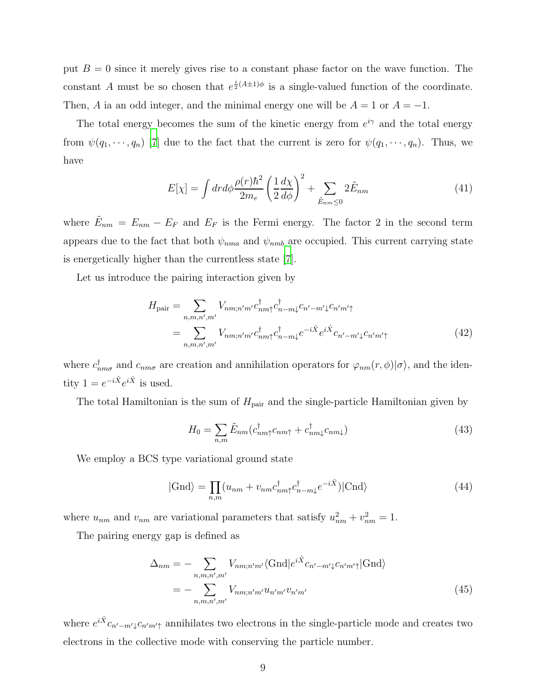put  $B = 0$  since it merely gives rise to a constant phase factor on the wave function. The constant A must be so chosen that  $e^{\frac{i}{2}(A\pm 1)\phi}$  is a single-valued function of the coordinate. Then, A ia an odd integer, and the minimal energy one will be  $A = 1$  or  $A = -1$ .

The total energy becomes the sum of the kinetic energy from  $e^{i\gamma}$  and the total energy from  $\psi(q_1, \dots, q_n)$  [\[7\]](#page-11-1) due to the fact that the current is zero for  $\psi(q_1, \dots, q_n)$ . Thus, we have

$$
E[\chi] = \int dr d\phi \frac{\rho(r)\hbar^2}{2m_e} \left(\frac{1}{2}\frac{d\chi}{d\phi}\right)^2 + \sum_{\tilde{E}_{nm}\leq 0} 2\tilde{E}_{nm}
$$
(41)

where  $\tilde{E}_{nm} = E_{nm} - E_F$  and  $E_F$  is the Fermi energy. The factor 2 in the second term appears due to the fact that both  $\psi_{nma}$  and  $\psi_{nmb}$  are occupied. This current carrying state is energetically higher than the currentless state [\[7](#page-11-1)].

Let us introduce the pairing interaction given by

$$
H_{\text{pair}} = \sum_{n,m,n',m'} V_{nm;n'm'} c_{nm\uparrow}^{\dagger} c_{n-m\downarrow}^{\dagger} c_{n'-m'\downarrow}^{\dagger} c_{n'm'\uparrow} = \sum_{n,m,n',m'} V_{nm;n'm'} c_{nm\uparrow}^{\dagger} c_{n-m\downarrow}^{\dagger} e^{-i\hat{X}} e^{i\hat{X}} c_{n'-m'\downarrow} c_{n'm'\uparrow}
$$
(42)

where  $c_{nm\sigma}^{\dagger}$  and  $c_{nm\sigma}$  are creation and annihilation operators for  $\varphi_{nm}(r,\phi)|\sigma\rangle$ , and the identity  $1 = e^{-i\hat{X}} e^{i\hat{X}}$  is used.

The total Hamiltonian is the sum of  $H_{\text{pair}}$  and the single-particle Hamiltonian given by

$$
H_0 = \sum_{n,m} \tilde{E}_{nm} (c_{nm\uparrow}^\dagger c_{nm\uparrow} + c_{nm\downarrow}^\dagger c_{nm\downarrow})
$$
\n(43)

We employ a BCS type variational ground state

$$
|\text{Gnd}\rangle = \prod_{n,m} (u_{nm} + v_{nm} c_{nm\uparrow}^{\dagger} c_{n-m\downarrow}^{\dagger} e^{-i\hat{X}})|\text{Cnd}\rangle \tag{44}
$$

where  $u_{nm}$  and  $v_{nm}$  are variational parameters that satisfy  $u_{nm}^2 + v_{nm}^2 = 1$ .

The pairing energy gap is defined as

$$
\Delta_{nm} = -\sum_{n,m,n',m'} V_{nm;n'm'} \langle \text{Gnd} | e^{i\hat{X}} c_{n'-m'\downarrow} c_{n'm'\uparrow} | \text{Gnd} \rangle
$$

$$
= -\sum_{n,m,n',m'} V_{nm;n'm'} u_{n'm'} v_{n'm'}
$$
(45)

where  $e^{i\hat{X}}c_{n'-m'}\llcorner c_{n'm'\uparrow}$  annihilates two electrons in the single-particle mode and creates two electrons in the collective mode with conserving the particle number.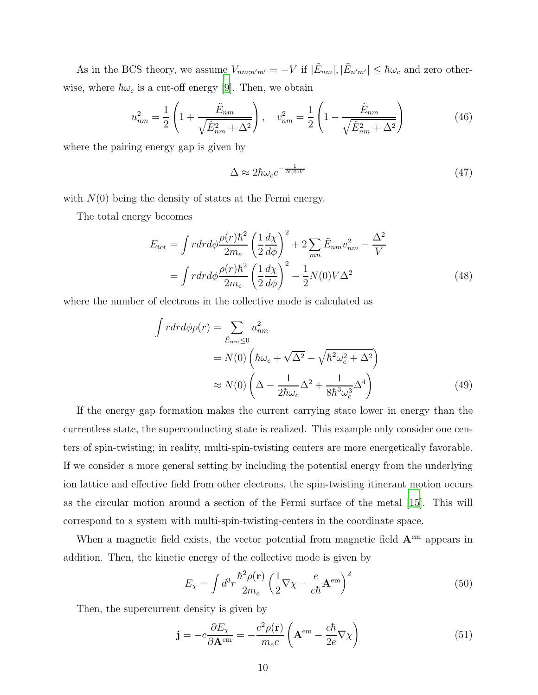As in the BCS theory, we assume  $V_{nm,n'm'} = -V$  if  $|\tilde{E}_{nm}|, |\tilde{E}_{n'm'}| \leq \hbar \omega_c$  and zero otherwise, where  $\hbar\omega_c$  is a cut-off energy [\[9](#page-11-3)]. Then, we obtain

$$
u_{nm}^2 = \frac{1}{2} \left( 1 + \frac{\tilde{E}_{nm}}{\sqrt{\tilde{E}_{nm}^2 + \Delta^2}} \right), \quad v_{nm}^2 = \frac{1}{2} \left( 1 - \frac{\tilde{E}_{nm}}{\sqrt{\tilde{E}_{nm}^2 + \Delta^2}} \right)
$$
(46)

where the pairing energy gap is given by

$$
\Delta \approx 2\hbar\omega_c e^{-\frac{1}{N(0)V}}\tag{47}
$$

with  $N(0)$  being the density of states at the Fermi energy.

The total energy becomes

$$
E_{\text{tot}} = \int r dr d\phi \frac{\rho(r)\hbar^2}{2m_e} \left(\frac{1}{2}\frac{d\chi}{d\phi}\right)^2 + 2\sum_{mn} \tilde{E}_{nm} v_{nm}^2 - \frac{\Delta^2}{V}
$$

$$
= \int r dr d\phi \frac{\rho(r)\hbar^2}{2m_e} \left(\frac{1}{2}\frac{d\chi}{d\phi}\right)^2 - \frac{1}{2}N(0)V\Delta^2
$$
(48)

where the number of electrons in the collective mode is calculated as

$$
\int r dr d\phi \rho(r) = \sum_{\tilde{E}_{nm} \le 0} u_{nm}^2
$$
  
=  $N(0) \left( \hbar \omega_c + \sqrt{\Delta^2} - \sqrt{\hbar^2 \omega_c^2 + \Delta^2} \right)$   

$$
\approx N(0) \left( \Delta - \frac{1}{2\hbar \omega_c} \Delta^2 + \frac{1}{8\hbar^3 \omega_c^3} \Delta^4 \right)
$$
(49)

If the energy gap formation makes the current carrying state lower in energy than the currentless state, the superconducting state is realized. This example only consider one centers of spin-twisting; in reality, multi-spin-twisting centers are more energetically favorable. If we consider a more general setting by including the potential energy from the underlying ion lattice and effective field from other electrons, the spin-twisting itinerant motion occurs as the circular motion around a section of the Fermi surface of the metal [\[15\]](#page-11-8). This will correspond to a system with multi-spin-twisting-centers in the coordinate space.

When a magnetic field exists, the vector potential from magnetic field  ${\bf A}^{\rm em}$  appears in addition. Then, the kinetic energy of the collective mode is given by

$$
E_{\chi} = \int d^3 r \frac{\hbar^2 \rho(\mathbf{r})}{2m_e} \left(\frac{1}{2} \nabla \chi - \frac{e}{c\hbar} \mathbf{A}^{\text{em}}\right)^2 \tag{50}
$$

Then, the supercurrent density is given by

$$
\mathbf{j} = -c \frac{\partial E_{\chi}}{\partial \mathbf{A}^{\text{em}}} = -\frac{e^2 \rho(\mathbf{r})}{m_e c} \left( \mathbf{A}^{\text{em}} - \frac{c \hbar}{2e} \nabla \chi \right)
$$
(51)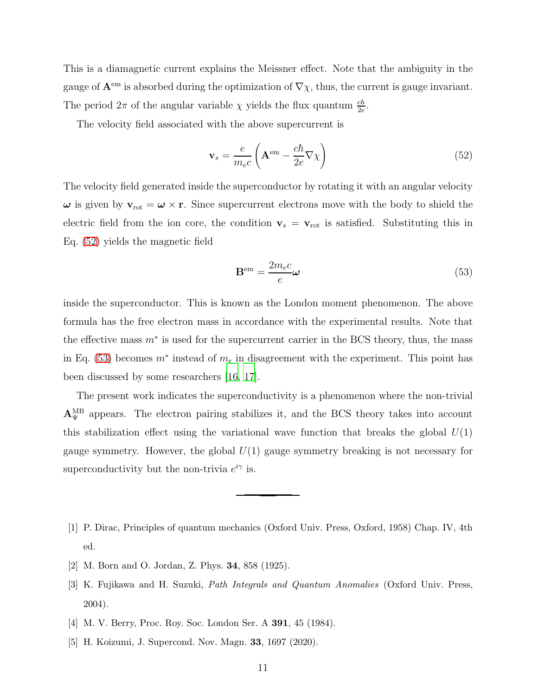This is a diamagnetic current explains the Meissner effect. Note that the ambiguity in the gauge of  ${\bf A}^{\rm em}$  is absorbed during the optimization of  $\nabla \chi$ , thus, the current is gauge invariant. The period  $2\pi$  of the angular variable  $\chi$  yields the flux quantum  $\frac{ch}{2e}$ .

The velocity field associated with the above supercurrent is

<span id="page-10-5"></span>
$$
\mathbf{v}_s = \frac{e}{m_e c} \left( \mathbf{A}^{\text{em}} - \frac{c\hbar}{2e} \nabla \chi \right)
$$
 (52)

The velocity field generated inside the superconductor by rotating it with an angular velocity  $\omega$  is given by  $v_{\text{rot}} = \omega \times r$ . Since supercurrent electrons move with the body to shield the electric field from the ion core, the condition  $v_s = v_{\text{rot}}$  is satisfied. Substituting this in Eq. [\(52\)](#page-10-5) yields the magnetic field

<span id="page-10-6"></span>
$$
\mathbf{B}^{\rm em} = \frac{2m_e c}{e} \boldsymbol{\omega} \tag{53}
$$

inside the superconductor. This is known as the London moment phenomenon. The above formula has the free electron mass in accordance with the experimental results. Note that the effective mass  $m^*$  is used for the supercurrent carrier in the BCS theory, thus, the mass in Eq. [\(53\)](#page-10-6) becomes  $m^*$  instead of  $m_e$  in disagreement with the experiment. This point has been discussed by some researchers [\[16,](#page-11-9) [17\]](#page-11-10).

The present work indicates the superconductivity is a phenomenon where the non-trivial  $A_{\Psi}^{\text{MB}}$  appears. The electron pairing stabilizes it, and the BCS theory takes into account this stabilization effect using the variational wave function that breaks the global  $U(1)$ gauge symmetry. However, the global  $U(1)$  gauge symmetry breaking is not necessary for superconductivity but the non-trivia  $e^{i\gamma}$  is.

- <span id="page-10-0"></span>[1] P. Dirac, Principles of quantum mechanics (Oxford Univ. Press, Oxford, 1958) Chap. IV, 4th ed.
- <span id="page-10-1"></span>[2] M. Born and O. Jordan, Z. Phys. 34, 858 (1925).
- <span id="page-10-2"></span>[3] K. Fujikawa and H. Suzuki, Path Integrals and Quantum Anomalies (Oxford Univ. Press, 2004).
- <span id="page-10-4"></span>[4] M. V. Berry, Proc. Roy. Soc. London Ser. A 391, 45 (1984).
- <span id="page-10-3"></span>[5] H. Koizumi, J. Supercond. Nov. Magn. 33, 1697 (2020).